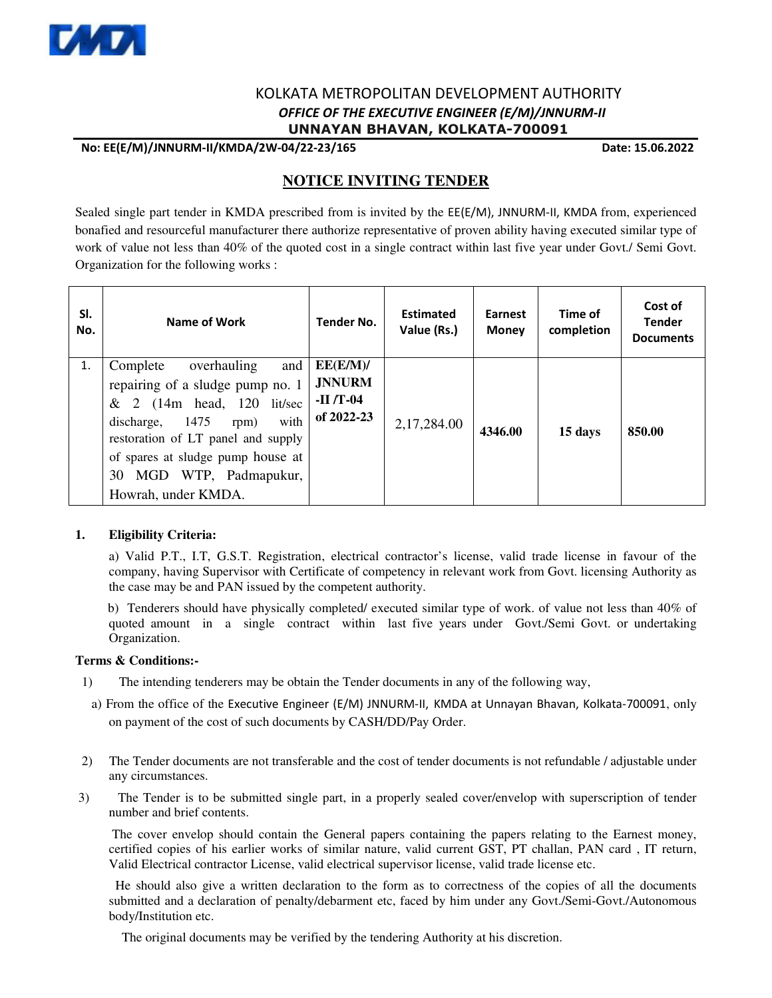

## KOLKATA METROPOLITAN DEVELOPMENT AUTHORITY  *OFFICE OF THE EXECUTIVE ENGINEER (E/M)/JNNURM-II*  **UNNAYAN BHAVAN, KOLKATA-700091**

 **No: EE(E/M)/JNNURM-II/KMDA/2W-04/22-23/165 Date: 15.06.2022**

# **NOTICE INVITING TENDER**

Sealed single part tender in KMDA prescribed from is invited by the EE(E/M), JNNURM-II, KMDA from, experienced bonafied and resourceful manufacturer there authorize representative of proven ability having executed similar type of work of value not less than 40% of the quoted cost in a single contract within last five year under Govt./ Semi Govt. Organization for the following works :

| SI.<br>No. | Name of Work                                                                                                                                                                                                                                                          | <b>Tender No.</b>                                     | <b>Estimated</b><br>Value (Rs.) | Earnest<br><b>Money</b> | Time of<br>completion | Cost of<br><b>Tender</b><br><b>Documents</b> |
|------------|-----------------------------------------------------------------------------------------------------------------------------------------------------------------------------------------------------------------------------------------------------------------------|-------------------------------------------------------|---------------------------------|-------------------------|-----------------------|----------------------------------------------|
| 1.         | Complete<br>overhauling<br>and<br>repairing of a sludge pump no. 1<br>$& 2$ (14m head, 120 lit/sec<br>with<br>1475<br>discharge,<br>rpm)<br>restoration of LT panel and supply<br>of spares at sludge pump house at<br>30 MGD WTP, Padmapukur,<br>Howrah, under KMDA. | EE(E/M)/<br><b>JNNURM</b><br>$-II/T-04$<br>of 2022-23 | 2,17,284.00                     | 4346.00                 | 15 days               | 850.00                                       |

#### **1. Eligibility Criteria:**

 a) Valid P.T., I.T, G.S.T. Registration, electrical contractor's license, valid trade license in favour of the company, having Supervisor with Certificate of competency in relevant work from Govt. licensing Authority as the case may be and PAN issued by the competent authority.

 b) Tenderers should have physically completed/ executed similar type of work. of value not less than 40% of quoted amount in a single contract within last five years under Govt./Semi Govt. or undertaking Organization.

#### **Terms & Conditions:-**

- 1) The intending tenderers may be obtain the Tender documents in any of the following way,
- a) From the office of the Executive Engineer (E/M) JNNURM-II, KMDA at Unnayan Bhavan, Kolkata-700091, only on payment of the cost of such documents by CASH/DD/Pay Order.
- 2) The Tender documents are not transferable and the cost of tender documents is not refundable / adjustable under any circumstances.
- 3) The Tender is to be submitted single part, in a properly sealed cover/envelop with superscription of tender number and brief contents.

 The cover envelop should contain the General papers containing the papers relating to the Earnest money, certified copies of his earlier works of similar nature, valid current GST, PT challan, PAN card , IT return, Valid Electrical contractor License, valid electrical supervisor license, valid trade license etc.

 He should also give a written declaration to the form as to correctness of the copies of all the documents submitted and a declaration of penalty/debarment etc, faced by him under any Govt./Semi-Govt./Autonomous body/Institution etc.

The original documents may be verified by the tendering Authority at his discretion.